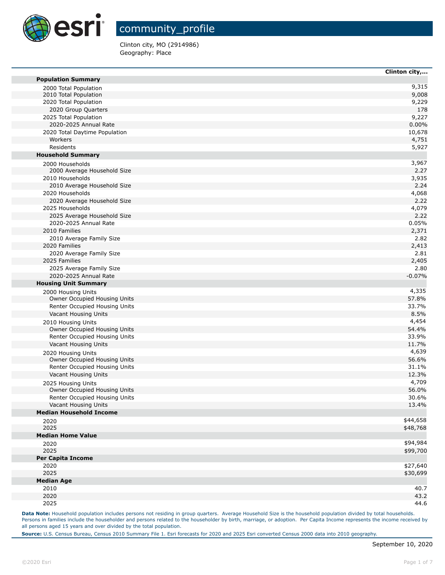

Clinton city, MO (2914986) Geography: Place

| <b>Population Summary</b>                            | Clinton city, |
|------------------------------------------------------|---------------|
| 2000 Total Population                                | 9,315         |
| 2010 Total Population                                | 9,008         |
| 2020 Total Population                                | 9,229         |
| 2020 Group Quarters                                  | 178           |
| 2025 Total Population                                | 9,227         |
| 2020-2025 Annual Rate                                | 0.00%         |
| 2020 Total Daytime Population                        | 10,678        |
| Workers                                              | 4,751         |
| Residents                                            | 5,927         |
| <b>Household Summary</b>                             |               |
|                                                      | 3,967         |
| 2000 Households<br>2000 Average Household Size       | 2.27          |
| 2010 Households                                      | 3,935         |
| 2010 Average Household Size                          | 2.24          |
| 2020 Households                                      | 4,068         |
|                                                      | 2.22          |
| 2020 Average Household Size<br>2025 Households       |               |
|                                                      | 4,079<br>2.22 |
| 2025 Average Household Size<br>2020-2025 Annual Rate | 0.05%         |
| 2010 Families                                        | 2,371         |
|                                                      |               |
| 2010 Average Family Size                             | 2.82          |
| 2020 Families                                        | 2,413         |
| 2020 Average Family Size<br>2025 Families            | 2.81          |
| 2025 Average Family Size                             | 2,405<br>2.80 |
| 2020-2025 Annual Rate                                |               |
|                                                      | $-0.07%$      |
| <b>Housing Unit Summary</b>                          |               |
| 2000 Housing Units                                   | 4,335         |
| Owner Occupied Housing Units                         | 57.8%         |
| Renter Occupied Housing Units                        | 33.7%         |
| Vacant Housing Units                                 | 8.5%          |
| 2010 Housing Units                                   | 4,454         |
| Owner Occupied Housing Units                         | 54.4%         |
| Renter Occupied Housing Units                        | 33.9%         |
| Vacant Housing Units                                 | 11.7%         |
| 2020 Housing Units                                   | 4,639         |
| Owner Occupied Housing Units                         | 56.6%         |
| Renter Occupied Housing Units                        | 31.1%         |
| Vacant Housing Units                                 | 12.3%         |
| 2025 Housing Units                                   | 4,709         |
| Owner Occupied Housing Units                         | 56.0%         |
| Renter Occupied Housing Units                        | 30.6%         |
| Vacant Housing Units                                 | 13.4%         |
| <b>Median Household Income</b>                       |               |
| 2020                                                 | \$44,658      |
| 2025                                                 | \$48,768      |
| <b>Median Home Value</b>                             |               |
| 2020                                                 | \$94,984      |
| 2025                                                 | \$99,700      |
| <b>Per Capita Income</b>                             |               |
| 2020                                                 | \$27,640      |
| 2025                                                 | \$30,699      |
| <b>Median Age</b>                                    |               |
| 2010                                                 | 40.7          |
| 2020                                                 | 43.2          |
| 2025                                                 | 44.6          |

Data Note: Household population includes persons not residing in group quarters. Average Household Size is the household population divided by total households. Persons in families include the householder and persons related to the householder by birth, marriage, or adoption. Per Capita Income represents the income received by all persons aged 15 years and over divided by the total population.

**Source:** U.S. Census Bureau, Census 2010 Summary File 1. Esri forecasts for 2020 and 2025 Esri converted Census 2000 data into 2010 geography.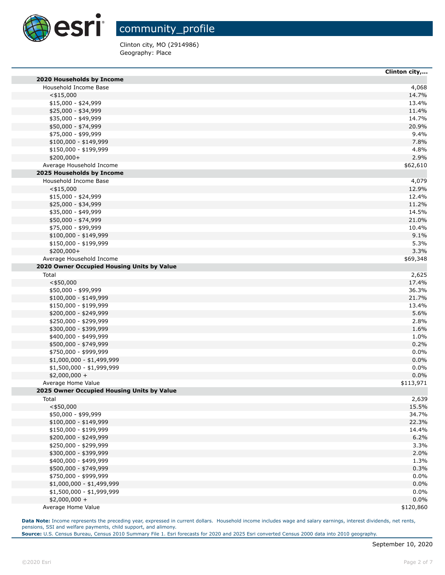

Clinton city, MO (2914986) Geography: Place

|                                            | Clinton city, |
|--------------------------------------------|---------------|
| 2020 Households by Income                  |               |
| Household Income Base                      | 4,068         |
| $<$ \$15,000                               | 14.7%         |
| $$15,000 - $24,999$                        | 13.4%         |
| \$25,000 - \$34,999                        | 11.4%         |
| \$35,000 - \$49,999                        | 14.7%         |
| \$50,000 - \$74,999                        | 20.9%         |
| \$75,000 - \$99,999                        | 9.4%          |
| \$100,000 - \$149,999                      | 7.8%          |
| \$150,000 - \$199,999                      | 4.8%          |
| \$200,000+                                 | 2.9%          |
| Average Household Income                   | \$62,610      |
| 2025 Households by Income                  |               |
| Household Income Base                      | 4,079         |
| $<$ \$15,000                               | 12.9%         |
| \$15,000 - \$24,999                        | 12.4%         |
| \$25,000 - \$34,999                        | 11.2%         |
| \$35,000 - \$49,999                        | 14.5%         |
| \$50,000 - \$74,999                        | 21.0%         |
|                                            | 10.4%         |
| \$75,000 - \$99,999                        |               |
| $$100,000 - $149,999$                      | 9.1%          |
| \$150,000 - \$199,999                      | 5.3%          |
| \$200,000+                                 | 3.3%          |
| Average Household Income                   | \$69,348      |
| 2020 Owner Occupied Housing Units by Value |               |
| Total                                      | 2,625         |
| $<$ \$50,000                               | 17.4%         |
| \$50,000 - \$99,999                        | 36.3%         |
| $$100,000 - $149,999$                      | 21.7%         |
| \$150,000 - \$199,999                      | 13.4%         |
| \$200,000 - \$249,999                      | 5.6%          |
| \$250,000 - \$299,999                      | 2.8%          |
| \$300,000 - \$399,999                      | 1.6%          |
| \$400,000 - \$499,999                      | 1.0%          |
| \$500,000 - \$749,999                      | 0.2%          |
| \$750,000 - \$999,999                      | 0.0%          |
| \$1,000,000 - \$1,499,999                  | 0.0%          |
| \$1,500,000 - \$1,999,999                  | 0.0%          |
| \$2,000,000 +                              | 0.0%          |
| Average Home Value                         | \$113,971     |
| 2025 Owner Occupied Housing Units by Value |               |
| Total                                      | 2,639         |
| $<$ \$50,000                               | 15.5%         |
| \$50,000 - \$99,999                        | 34.7%         |
| $$100,000 - $149,999$                      | 22.3%         |
| \$150,000 - \$199,999                      | 14.4%         |
| \$200,000 - \$249,999                      | 6.2%          |
| \$250,000 - \$299,999                      | 3.3%          |
| \$300,000 - \$399,999                      | 2.0%          |
|                                            |               |
| \$400,000 - \$499,999                      | 1.3%          |
| \$500,000 - \$749,999                      | 0.3%          |
| \$750,000 - \$999,999                      | 0.0%          |
| $$1,000,000 - $1,499,999$                  | 0.0%          |
| $$1,500,000 - $1,999,999$                  | 0.0%          |
| $$2,000,000 +$                             | 0.0%          |
| Average Home Value                         | \$120,860     |

Data Note: Income represents the preceding year, expressed in current dollars. Household income includes wage and salary earnings, interest dividends, net rents, pensions, SSI and welfare payments, child support, and alimony.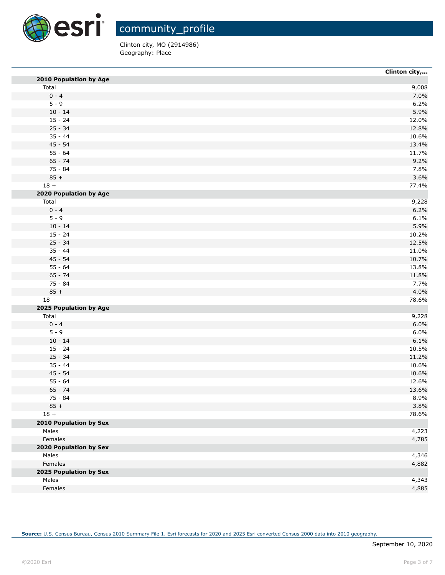

Clinton city, MO (2914986) Geography: Place

|                        | Clinton city,  |
|------------------------|----------------|
| 2010 Population by Age |                |
| Total                  | 9,008          |
| $0 - 4$                | 7.0%           |
| $5 - 9$                | 6.2%           |
| $10 - 14$              | 5.9%           |
| $15 - 24$              | 12.0%          |
| $25 - 34$              | 12.8%          |
| $35 - 44$              | 10.6%          |
| $45 - 54$              | 13.4%          |
| $55 - 64$              | 11.7%          |
| $65 - 74$              | 9.2%           |
| $75 - 84$              | 7.8%           |
| $85 +$                 | 3.6%           |
| $18 +$                 | 77.4%          |
| 2020 Population by Age |                |
| Total                  | 9,228          |
| $0 - 4$                | 6.2%           |
| $5 - 9$                | 6.1%           |
| $10 - 14$              | 5.9%           |
| $15 - 24$              | 10.2%          |
| $25 - 34$              | 12.5%          |
| $35 - 44$              | 11.0%          |
| $45 - 54$              | 10.7%          |
| $55 - 64$              | 13.8%          |
| $65 - 74$              | 11.8%          |
| 75 - 84                | 7.7%           |
| $85 +$                 | 4.0%           |
| $18 +$                 | 78.6%          |
| 2025 Population by Age |                |
| Total                  | 9,228          |
| $0 - 4$                | 6.0%           |
| $5 - 9$                | 6.0%           |
| $10 - 14$              | 6.1%           |
| $15 - 24$              | 10.5%          |
| $25 - 34$              | 11.2%          |
| $35 - 44$              | 10.6%          |
| $45 - 54$              | 10.6%          |
| $55 - 64$              |                |
| $65 - 74$              | 12.6%<br>13.6% |
|                        |                |
| 75 - 84                | 8.9%           |
| $85 +$                 | 3.8%           |
| $18 +$                 | 78.6%          |
| 2010 Population by Sex |                |
| Males                  | 4,223          |
| Females                | 4,785          |
| 2020 Population by Sex |                |
| Males                  | 4,346          |
| Females                | 4,882          |
| 2025 Population by Sex |                |
| Males                  | 4,343          |
| Females                | 4,885          |
|                        |                |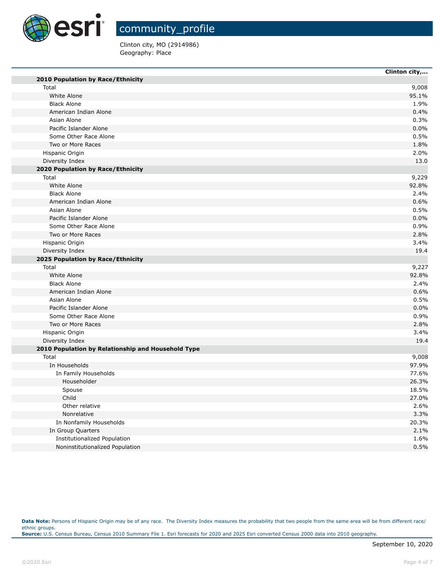

٠

г

٠

community\_profile

Clinton city, MO (2914986) Geography: Place

|                                                    | Clinton city, |
|----------------------------------------------------|---------------|
| 2010 Population by Race/Ethnicity                  |               |
| Total                                              | 9,008         |
| White Alone                                        | 95.1%         |
| <b>Black Alone</b>                                 | 1.9%          |
| American Indian Alone                              | 0.4%          |
| Asian Alone                                        | 0.3%          |
| Pacific Islander Alone                             | 0.0%          |
| Some Other Race Alone                              | 0.5%          |
| Two or More Races                                  | 1.8%          |
| Hispanic Origin                                    | 2.0%          |
| Diversity Index                                    | 13.0          |
| 2020 Population by Race/Ethnicity                  |               |
| Total                                              | 9,229         |
| White Alone                                        | 92.8%         |
| <b>Black Alone</b>                                 | 2.4%          |
| American Indian Alone                              | 0.6%          |
| Asian Alone                                        | 0.5%          |
| Pacific Islander Alone                             | 0.0%          |
| Some Other Race Alone                              | 0.9%          |
| Two or More Races                                  | 2.8%          |
| Hispanic Origin                                    | 3.4%          |
| Diversity Index                                    | 19.4          |
| 2025 Population by Race/Ethnicity                  |               |
| Total                                              | 9,227         |
| White Alone                                        | 92.8%         |
| <b>Black Alone</b>                                 | 2.4%          |
| American Indian Alone                              | 0.6%          |
| Asian Alone                                        | 0.5%          |
| Pacific Islander Alone                             | 0.0%          |
| Some Other Race Alone                              | 0.9%          |
| Two or More Races                                  | 2.8%          |
| Hispanic Origin                                    | 3.4%          |
| Diversity Index                                    | 19.4          |
| 2010 Population by Relationship and Household Type |               |
| Total                                              | 9,008         |
| In Households                                      | 97.9%         |
|                                                    | 77.6%         |
| In Family Households<br>Householder                | 26.3%         |
|                                                    |               |
| Spouse                                             | 18.5%         |
| Child                                              | 27.0%         |
| Other relative                                     | 2.6%          |
| Nonrelative                                        | 3.3%          |
| In Nonfamily Households                            | 20.3%         |
| In Group Quarters                                  | 2.1%          |
| Institutionalized Population                       | 1.6%          |
| Noninstitutionalized Population                    | 0.5%          |

Data Note: Persons of Hispanic Origin may be of any race. The Diversity Index measures the probability that two people from the same area will be from different race/ ethnic groups. **Source:** U.S. Census Bureau, Census 2010 Summary File 1. Esri forecasts for 2020 and 2025 Esri converted Census 2000 data into 2010 geography.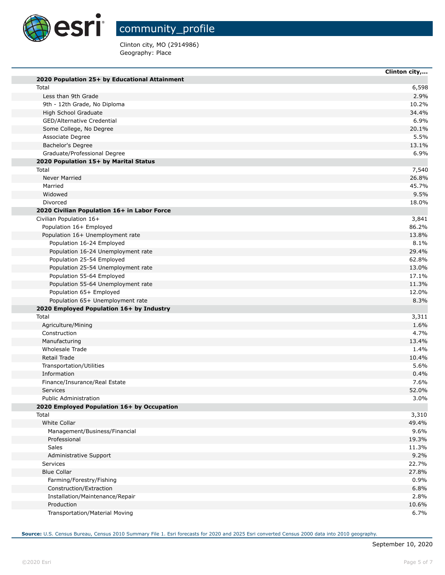

T.

m

T.

community\_profile

Clinton city, MO (2914986) Geography: Place

|                                               | Clinton city, |
|-----------------------------------------------|---------------|
| 2020 Population 25+ by Educational Attainment |               |
| Total                                         | 6,598         |
| Less than 9th Grade                           | 2.9%          |
| 9th - 12th Grade, No Diploma                  | 10.2%         |
| High School Graduate                          | 34.4%         |
| GED/Alternative Credential                    | 6.9%          |
| Some College, No Degree                       | 20.1%         |
| Associate Degree                              | 5.5%          |
| Bachelor's Degree                             | 13.1%         |
| Graduate/Professional Degree                  | 6.9%          |
| 2020 Population 15+ by Marital Status         |               |
| Total                                         | 7,540         |
| <b>Never Married</b>                          | 26.8%         |
| Married                                       | 45.7%         |
| Widowed                                       | 9.5%          |
| Divorced                                      | 18.0%         |
| 2020 Civilian Population 16+ in Labor Force   |               |
| Civilian Population 16+                       | 3,841         |
| Population 16+ Employed                       | 86.2%         |
| Population 16+ Unemployment rate              | 13.8%         |
| Population 16-24 Employed                     | 8.1%          |
| Population 16-24 Unemployment rate            | 29.4%         |
| Population 25-54 Employed                     | 62.8%         |
| Population 25-54 Unemployment rate            | 13.0%         |
| Population 55-64 Employed                     | 17.1%         |
| Population 55-64 Unemployment rate            | 11.3%         |
| Population 65+ Employed                       | 12.0%         |
| Population 65+ Unemployment rate              | 8.3%          |
| 2020 Employed Population 16+ by Industry      |               |
| Total                                         | 3,311         |
| Agriculture/Mining                            | 1.6%          |
| Construction                                  | 4.7%          |
| Manufacturing                                 | 13.4%         |
| Wholesale Trade                               | 1.4%          |
| Retail Trade                                  | 10.4%         |
| Transportation/Utilities                      | 5.6%          |
| Information                                   | 0.4%          |
| Finance/Insurance/Real Estate<br>Services     | 7.6%          |
| <b>Public Administration</b>                  | 52.0%<br>3.0% |
| 2020 Employed Population 16+ by Occupation    |               |
| Total                                         | 3,310         |
| <b>White Collar</b>                           | 49.4%         |
| Management/Business/Financial                 | 9.6%          |
| Professional                                  | 19.3%         |
| Sales                                         | 11.3%         |
| Administrative Support                        | 9.2%          |
| Services                                      | 22.7%         |
| <b>Blue Collar</b>                            | 27.8%         |
| Farming/Forestry/Fishing                      | 0.9%          |
| Construction/Extraction                       | 6.8%          |
| Installation/Maintenance/Repair               | 2.8%          |
| Production                                    | 10.6%         |
| Transportation/Material Moving                | 6.7%          |
|                                               |               |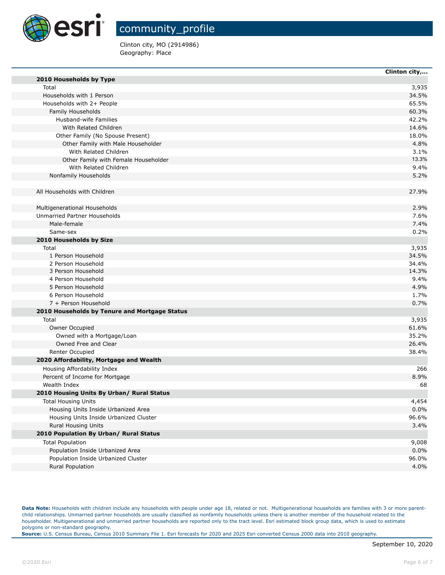

Clinton city, MO (2914986) Geography: Place

|                                               | Clinton city, |
|-----------------------------------------------|---------------|
| 2010 Households by Type                       |               |
| Total                                         | 3,935         |
| Households with 1 Person                      | 34.5%         |
| Households with 2+ People                     | 65.5%         |
| Family Households                             | 60.3%         |
| Husband-wife Families                         | 42.2%         |
| With Related Children                         | 14.6%         |
| Other Family (No Spouse Present)              | 18.0%         |
| Other Family with Male Householder            | 4.8%          |
| With Related Children                         | 3.1%          |
| Other Family with Female Householder          | 13.3%         |
| With Related Children                         | 9.4%          |
| Nonfamily Households                          | 5.2%          |
| All Households with Children                  | 27.9%         |
| Multigenerational Households                  | 2.9%          |
| Unmarried Partner Households                  | 7.6%          |
| Male-female                                   | 7.4%          |
| Same-sex                                      | 0.2%          |
| 2010 Households by Size                       |               |
| Total                                         | 3,935         |
| 1 Person Household                            | 34.5%         |
| 2 Person Household                            | 34.4%         |
| 3 Person Household                            | 14.3%         |
| 4 Person Household                            | 9.4%          |
| 5 Person Household                            | 4.9%          |
| 6 Person Household                            | 1.7%          |
| 7 + Person Household                          | 0.7%          |
| 2010 Households by Tenure and Mortgage Status |               |
| Total                                         | 3,935         |
| Owner Occupied                                | 61.6%         |
| Owned with a Mortgage/Loan                    | 35.2%         |
| Owned Free and Clear                          | 26.4%         |
| <b>Renter Occupied</b>                        | 38.4%         |
| 2020 Affordability, Mortgage and Wealth       |               |
| Housing Affordability Index                   | 266           |
| Percent of Income for Mortgage                | 8.9%          |
| Wealth Index                                  | 68            |
| 2010 Housing Units By Urban/ Rural Status     |               |
| <b>Total Housing Units</b>                    | 4,454         |
| Housing Units Inside Urbanized Area           | 0.0%          |
| Housing Units Inside Urbanized Cluster        | 96.6%         |
| <b>Rural Housing Units</b>                    | 3.4%          |
| 2010 Population By Urban/ Rural Status        |               |
| <b>Total Population</b>                       | 9,008         |
| Population Inside Urbanized Area              | 0.0%          |
| Population Inside Urbanized Cluster           | 96.0%         |
| Rural Population                              | 4.0%          |

Data Note: Households with children include any households with people under age 18, related or not. Multigenerational households are families with 3 or more parentchild relationships. Unmarried partner households are usually classified as nonfamily households unless there is another member of the household related to the householder. Multigenerational and unmarried partner households are reported only to the tract level. Esri estimated block group data, which is used to estimate polygons or non-standard geography.